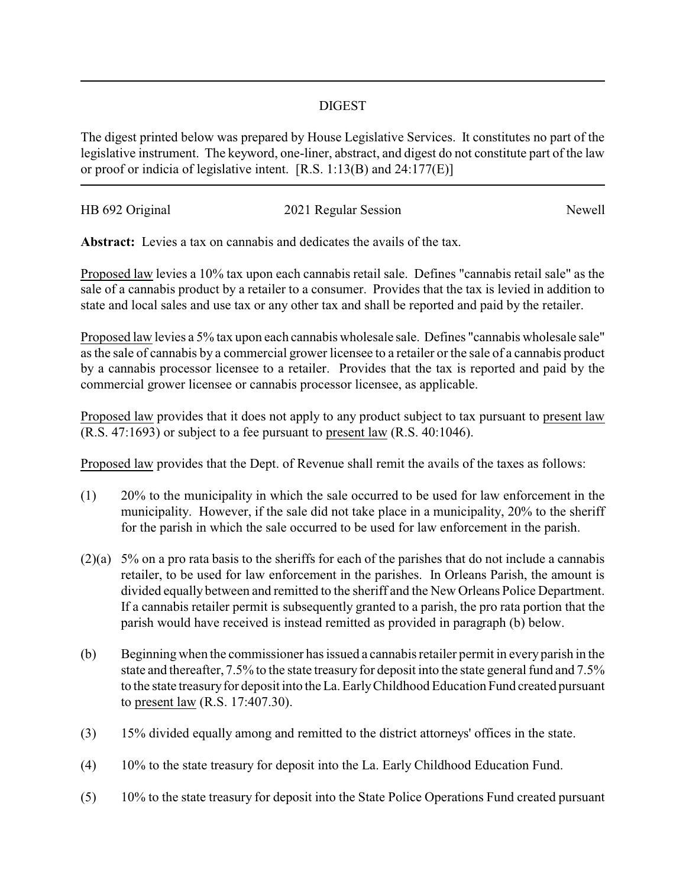## DIGEST

The digest printed below was prepared by House Legislative Services. It constitutes no part of the legislative instrument. The keyword, one-liner, abstract, and digest do not constitute part of the law or proof or indicia of legislative intent. [R.S. 1:13(B) and 24:177(E)]

| HB 692 Original | 2021 Regular Session | Newell |
|-----------------|----------------------|--------|
|                 |                      |        |

**Abstract:** Levies a tax on cannabis and dedicates the avails of the tax.

Proposed law levies a 10% tax upon each cannabis retail sale. Defines "cannabis retail sale" as the sale of a cannabis product by a retailer to a consumer. Provides that the tax is levied in addition to state and local sales and use tax or any other tax and shall be reported and paid by the retailer.

Proposed law levies a 5% tax upon each cannabis wholesale sale. Defines "cannabis wholesale sale" as the sale of cannabis by a commercial grower licensee to a retailer or the sale of a cannabis product by a cannabis processor licensee to a retailer. Provides that the tax is reported and paid by the commercial grower licensee or cannabis processor licensee, as applicable.

Proposed law provides that it does not apply to any product subject to tax pursuant to present law (R.S. 47:1693) or subject to a fee pursuant to present law (R.S. 40:1046).

Proposed law provides that the Dept. of Revenue shall remit the avails of the taxes as follows:

- (1) 20% to the municipality in which the sale occurred to be used for law enforcement in the municipality. However, if the sale did not take place in a municipality, 20% to the sheriff for the parish in which the sale occurred to be used for law enforcement in the parish.
- (2)(a) 5% on a pro rata basis to the sheriffs for each of the parishes that do not include a cannabis retailer, to be used for law enforcement in the parishes. In Orleans Parish, the amount is divided equally between and remitted to the sheriff and the New Orleans Police Department. If a cannabis retailer permit is subsequently granted to a parish, the pro rata portion that the parish would have received is instead remitted as provided in paragraph (b) below.
- (b) Beginning when the commissioner has issued a cannabis retailer permit in every parish in the state and thereafter, 7.5% to the state treasury for deposit into the state general fund and 7.5% to the state treasuryfor deposit into the La. EarlyChildhood Education Fund created pursuant to present law (R.S. 17:407.30).
- (3) 15% divided equally among and remitted to the district attorneys' offices in the state.
- (4) 10% to the state treasury for deposit into the La. Early Childhood Education Fund.
- (5) 10% to the state treasury for deposit into the State Police Operations Fund created pursuant